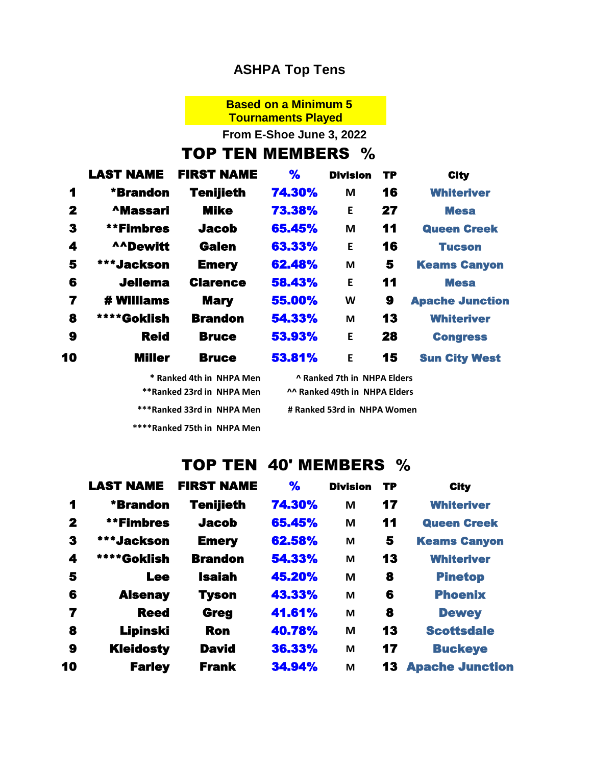#### **ASHPA Top Tens**

### **Based on a Minimum 5**

**Tournaments Played**

**From E-Shoe June 3, 2022**

## TOP TEN MEMBERS %

|              | <b>LAST NAME</b> | <b>FIRST NAME</b> | %      | <b>Division</b> | <b>TP</b> | <b>City</b>            |
|--------------|------------------|-------------------|--------|-----------------|-----------|------------------------|
| 1            | *Brandon         | Tenijieth         | 74.30% | M               | 16        | <b>Whiteriver</b>      |
| $\mathbf{2}$ | <b>AMassari</b>  | <b>Mike</b>       | 73.38% | E               | 27        | <b>Mesa</b>            |
| 3            | **Fimbres        | <b>Jacob</b>      | 65.45% | M               | 11        | <b>Queen Creek</b>     |
| 4            | <b>AADewitt</b>  | <b>Galen</b>      | 63.33% | E               | 16        | <b>Tucson</b>          |
| 5            | ***Jackson       | <b>Emery</b>      | 62.48% | M               | 5         | <b>Keams Canyon</b>    |
| 6            | <b>Jellema</b>   | <b>Clarence</b>   | 58.43% | E               | 11        | <b>Mesa</b>            |
| 7            | # Williams       | <b>Mary</b>       | 55.00% | W               | 9         | <b>Apache Junction</b> |
| 8            | ****Goklish      | <b>Brandon</b>    | 54.33% | M               | 13        | <b>Whiteriver</b>      |
| 9            | <b>Reid</b>      | <b>Bruce</b>      | 53.93% | E               | 28        | <b>Congress</b>        |
| 10           | <b>Miller</b>    | <b>Bruce</b>      | 53.81% | E               | 15        | <b>Sun City West</b>   |
|              |                  |                   |        |                 |           |                        |

**\* Ranked 4th in NHPA Men ^ Ranked 7th in NHPA Elders \*\*\*\*Ranked 75th in NHPA Men**

**\*\*Ranked 23rd in NHPA Men ^^ Ranked 49th in NHPA Elders** \*\*\*Ranked 33rd in NHPA Men # Ranked 53rd in NHPA Women

#### TOP TEN 40' MEMBERS %

|              | <b>LAST NAME</b> | <b>FIRST NAME</b> | %      | <b>Division</b> | <b>TP</b> | <b>City</b>            |
|--------------|------------------|-------------------|--------|-----------------|-----------|------------------------|
| 1            | *Brandon         | <b>Tenijieth</b>  | 74.30% | M               | 17        | <b>Whiteriver</b>      |
| $\mathbf{2}$ | **Fimbres        | <b>Jacob</b>      | 65.45% | M               | 11        | <b>Queen Creek</b>     |
| 3            | ***Jackson       | <b>Emery</b>      | 62.58% | M               | 5         | <b>Keams Canyon</b>    |
| 4            | ****Goklish      | <b>Brandon</b>    | 54.33% | M               | 13        | <b>Whiteriver</b>      |
| 5            | <b>Lee</b>       | <b>Isaiah</b>     | 45.20% | M               | 8         | <b>Pinetop</b>         |
| 6            | <b>Alsenay</b>   | <b>Tyson</b>      | 43,33% | M               | 6         | <b>Phoenix</b>         |
| 7            | Reed             | <b>Greg</b>       | 41.61% | M               | 8         | <b>Dewey</b>           |
| 8            | Lipinski         | <b>Ron</b>        | 40.78% | M               | 13        | <b>Scottsdale</b>      |
| 9            | <b>Kleidosty</b> | <b>David</b>      | 36.33% | M               | 17        | <b>Buckeye</b>         |
| 10           | <b>Farley</b>    | <b>Frank</b>      | 34.94% | M               | 13        | <b>Apache Junction</b> |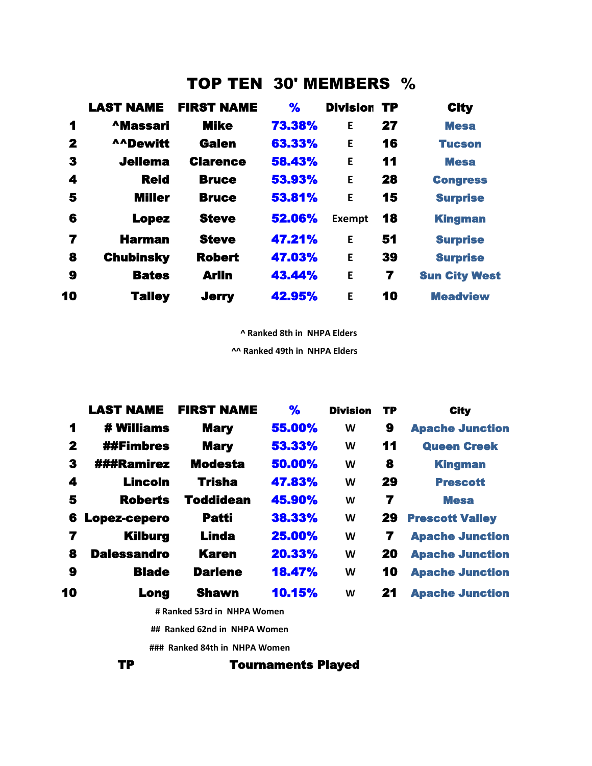## TOP TEN 30' MEMBERS %

|              | <b>LAST NAME</b> | <b>FIRST NAME</b> | $\frac{1}{2}$ | <b>Division TP</b> |    | <b>City</b>          |
|--------------|------------------|-------------------|---------------|--------------------|----|----------------------|
| 1            | <b>AMassari</b>  | <b>Mike</b>       | 73.38%        | E                  | 27 | <b>Mesa</b>          |
| $\mathbf{2}$ | <b>AADewitt</b>  | <b>Galen</b>      | 63.33%        | E                  | 16 | <b>Tucson</b>        |
| 3            | <b>Jellema</b>   | <b>Clarence</b>   | 58.43%        | E                  | 11 | <b>Mesa</b>          |
| 4            | <b>Reid</b>      | <b>Bruce</b>      | 53.93%        | E                  | 28 | <b>Congress</b>      |
| 5            | <b>Miller</b>    | <b>Bruce</b>      | 53.81%        | E                  | 15 | <b>Surprise</b>      |
| 6            | <b>Lopez</b>     | <b>Steve</b>      | 52.06%        | Exempt             | 18 | <b>Kingman</b>       |
| 7            | <b>Harman</b>    | <b>Steve</b>      | 47.21%        | E                  | 51 | <b>Surprise</b>      |
| 8            | <b>Chubinsky</b> | <b>Robert</b>     | 47.03%        | E                  | 39 | <b>Surprise</b>      |
| 9            | <b>Bates</b>     | <b>Arlin</b>      | 43.44%        | E                  | 7  | <b>Sun City West</b> |
| 10           | <b>Talley</b>    | <b>Jerry</b>      | 42.95%        | E                  | 10 | <b>Meadview</b>      |

 **^ Ranked 8th in NHPA Elders**

**^^ Ranked 49th in NHPA Elders**

|              | <b>LAST NAME</b>   | <b>FIRST NAME</b> | $\frac{9}{6}$ | <b>Division</b> | TP | <b>City</b>            |
|--------------|--------------------|-------------------|---------------|-----------------|----|------------------------|
| 1            | # Williams         | <b>Mary</b>       | 55.00%        | W               | 9  | <b>Apache Junction</b> |
| $\mathbf{2}$ | <b>##Fimbres</b>   | <b>Mary</b>       | 53.33%        | W               | 11 | <b>Queen Creek</b>     |
| 3            | ###Ramirez         | <b>Modesta</b>    | 50.00%        | W               | 8  | <b>Kingman</b>         |
| 4            | <b>Lincoln</b>     | <b>Trisha</b>     | 47.83%        | W               | 29 | <b>Prescott</b>        |
| 5            | <b>Roberts</b>     | <b>Toddidean</b>  | 45.90%        | W               | 7  | <b>Mesa</b>            |
| 6            | Lopez-cepero       | <b>Patti</b>      | 38.33%        | W               | 29 | <b>Prescott Valley</b> |
| 7            | <b>Kilburg</b>     | <b>Linda</b>      | 25.00%        | W               | 7  | <b>Apache Junction</b> |
| 8            | <b>Dalessandro</b> | <b>Karen</b>      | 20.33%        | W               | 20 | <b>Apache Junction</b> |
| 9            | <b>Blade</b>       | <b>Darlene</b>    | 18.47%        | W               | 10 | <b>Apache Junction</b> |
| 10           | Long               | <b>Shawn</b>      | 10.15%        | W               | 21 | <b>Apache Junction</b> |

 **# Ranked 53rd in NHPA Women**

 **## Ranked 62nd in NHPA Women**

 **### Ranked 84th in NHPA Women**

TP Tournaments Played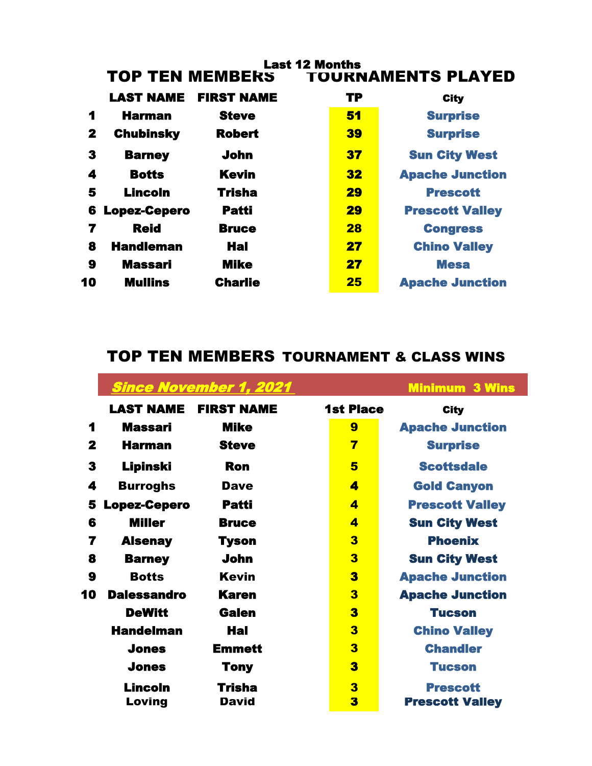| <b>Last 12 Months</b><br><b>TOP TEN MEMBERS</b><br><b>TOURNAMENTS PLAYED</b> |                     |                   |           |                        |  |  |
|------------------------------------------------------------------------------|---------------------|-------------------|-----------|------------------------|--|--|
|                                                                              |                     |                   |           |                        |  |  |
|                                                                              | <b>LAST NAME</b>    | <b>FIRST NAME</b> | <b>TP</b> | <b>City</b>            |  |  |
| 1                                                                            | <b>Harman</b>       | <b>Steve</b>      | 51        | <b>Surprise</b>        |  |  |
| 2                                                                            | <b>Chubinsky</b>    | <b>Robert</b>     | 39        | <b>Surprise</b>        |  |  |
| 3                                                                            | <b>Barney</b>       | John              | 37        | <b>Sun City West</b>   |  |  |
| 4                                                                            | <b>Botts</b>        | <b>Kevin</b>      | 32        | <b>Apache Junction</b> |  |  |
| 5                                                                            | <b>Lincoln</b>      | <b>Trisha</b>     | 29        | <b>Prescott</b>        |  |  |
| 6                                                                            | <b>Lopez-Cepero</b> | <b>Patti</b>      | 29        | <b>Prescott Valley</b> |  |  |
| 7                                                                            | <b>Reid</b>         | <b>Bruce</b>      | 28        | <b>Congress</b>        |  |  |
| 8                                                                            | <b>Handleman</b>    | <b>Hal</b>        | 27        | <b>Chino Valley</b>    |  |  |
| 9                                                                            | <b>Massari</b>      | <b>Mike</b>       | 27        | <b>Mesa</b>            |  |  |
| 10                                                                           | <b>Mullins</b>      | <b>Charlie</b>    | 25        | <b>Apache Junction</b> |  |  |

# TOP TEN MEMBERS TOURNAMENT & CLASS WINS

|              |                     | <b>Since November 1, 2021</b> |                  | <b>Minimum 3 Wins</b>  |
|--------------|---------------------|-------------------------------|------------------|------------------------|
|              | <b>LAST NAME</b>    | <b>FIRST NAME</b>             | <b>1st Place</b> | <b>City</b>            |
| 1            | Massari             | <b>Mike</b>                   | 9                | <b>Apache Junction</b> |
| $\mathbf{2}$ | <b>Harman</b>       | <b>Steve</b>                  | 7                | <b>Surprise</b>        |
| 3            | Lipinski            | Ron                           | 5                | <b>Scottsdale</b>      |
| 4            | <b>Burroghs</b>     | <b>Dave</b>                   | 4                | <b>Gold Canyon</b>     |
| 5            | <b>Lopez-Cepero</b> | <b>Patti</b>                  | 4                | <b>Prescott Valley</b> |
| 6            | <b>Miller</b>       | <b>Bruce</b>                  | 4                | <b>Sun City West</b>   |
| 7            | <b>Alsenay</b>      | <b>Tyson</b>                  | 3                | <b>Phoenix</b>         |
| 8            | <b>Barney</b>       | <b>John</b>                   | 3                | <b>Sun City West</b>   |
| 9            | <b>Botts</b>        | <b>Kevin</b>                  | 3                | <b>Apache Junction</b> |
| 10           | <b>Dalessandro</b>  | <b>Karen</b>                  | 3                | <b>Apache Junction</b> |
|              | <b>DeWitt</b>       | Galen                         | 3                | <b>Tucson</b>          |
|              | <b>Handelman</b>    | Hal                           | 3                | <b>Chino Valley</b>    |
|              | <b>Jones</b>        | <b>Emmett</b>                 | 3                | <b>Chandler</b>        |
|              | <b>Jones</b>        | <b>Tony</b>                   | 3                | <b>Tucson</b>          |
|              | <b>Lincoln</b>      | <b>Trisha</b>                 | 3                | <b>Prescott</b>        |
|              | Loving              | <b>David</b>                  | 3                | <b>Prescott Valley</b> |